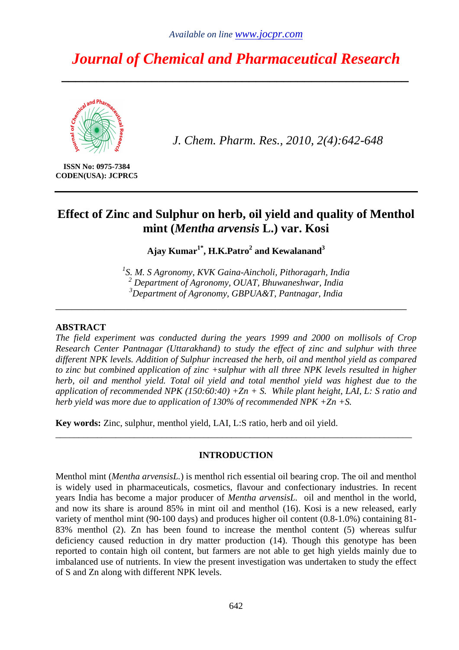# *Journal of Chemical and Pharmaceutical Research*

*\_\_\_\_\_\_\_\_\_\_\_\_\_\_\_\_\_\_\_\_\_\_\_\_\_\_\_\_\_\_\_\_\_\_\_\_\_\_\_\_\_\_\_\_\_\_\_\_\_\_* 



*J. Chem. Pharm. Res., 2010, 2(4):642-648*

**ISSN No: 0975-7384 CODEN(USA): JCPRC5** 

# **Effect of Zinc and Sulphur on herb, oil yield and quality of Menthol mint (***Mentha arvensis* **L.) var. Kosi**

**Ajay Kumar1\*, H.K.Patro<sup>2</sup> and Kewalanand<sup>3</sup>** 

*1 S. M. S Agronomy, KVK Gaina-Aincholi, Pithoragarh, India 2 Department of Agronomy, OUAT, Bhuwaneshwar, India <sup>3</sup>Department of Agronomy, GBPUA&T, Pantnagar, India* 

\_\_\_\_\_\_\_\_\_\_\_\_\_\_\_\_\_\_\_\_\_\_\_\_\_\_\_\_\_\_\_\_\_\_\_\_\_\_\_\_\_\_\_\_\_\_\_\_\_\_\_\_\_\_\_\_\_\_\_\_\_\_\_\_\_

### **ABSTRACT**

*The field experiment was conducted during the years 1999 and 2000 on mollisols of Crop Research Center Pantnagar (Uttarakhand) to study the effect of zinc and sulphur with three different NPK levels. Addition of Sulphur increased the herb, oil and menthol yield as compared to zinc but combined application of zinc +sulphur with all three NPK levels resulted in higher herb, oil and menthol yield. Total oil yield and total menthol yield was highest due to the application of recommended NPK (150:60:40) +Zn + S. While plant height, LAI, L: S ratio and herb yield was more due to application of 130% of recommended NPK +Zn +S.* 

**Key words:** Zinc, sulphur, menthol yield, LAI, L:S ratio, herb and oil yield.

## **INTRODUCTION**

\_\_\_\_\_\_\_\_\_\_\_\_\_\_\_\_\_\_\_\_\_\_\_\_\_\_\_\_\_\_\_\_\_\_\_\_\_\_\_\_\_\_\_\_\_\_\_\_\_\_\_\_\_\_\_\_\_\_\_\_\_\_\_\_\_\_\_\_\_\_\_\_\_\_\_\_\_

Menthol mint (*Mentha arvensisL.*) is menthol rich essential oil bearing crop. The oil and menthol is widely used in pharmaceuticals, cosmetics, flavour and confectionary industries. In recent years India has become a major producer of *Mentha arvensisL.* oil and menthol in the world, and now its share is around 85% in mint oil and menthol (16). Kosi is a new released, early variety of menthol mint (90-100 days) and produces higher oil content (0.8-1.0%) containing 81- 83% menthol (2). Zn has been found to increase the menthol content (5) whereas sulfur deficiency caused reduction in dry matter production (14). Though this genotype has been reported to contain high oil content, but farmers are not able to get high yields mainly due to imbalanced use of nutrients. In view the present investigation was undertaken to study the effect of S and Zn along with different NPK levels.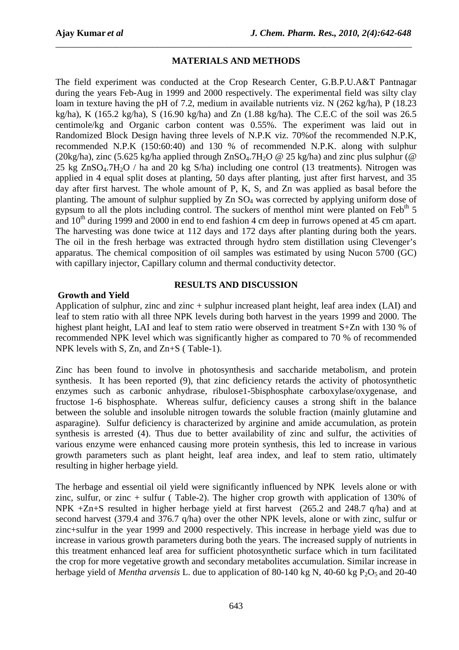# **MATERIALS AND METHODS**

*\_\_\_\_\_\_\_\_\_\_\_\_\_\_\_\_\_\_\_\_\_\_\_\_\_\_\_\_\_\_\_\_\_\_\_\_\_\_\_\_\_\_\_\_\_\_\_\_\_\_\_\_\_\_\_\_\_\_\_\_\_\_\_\_\_\_\_\_\_\_\_\_\_\_\_\_\_*

The field experiment was conducted at the Crop Research Center, G.B.P.U.A&T Pantnagar during the years Feb-Aug in 1999 and 2000 respectively. The experimental field was silty clay loam in texture having the pH of 7.2, medium in available nutrients viz. N (262 kg/ha), P (18.23 kg/ha), K (165.2 kg/ha), S (16.90 kg/ha) and Zn (1.88 kg/ha). The C.E.C of the soil was 26.5 centimole/kg and Organic carbon content was 0.55%. The experiment was laid out in Randomized Block Design having three levels of N.P.K viz. 70%of the recommended N.P.K, recommended N.P.K (150:60:40) and 130 % of recommended N.P.K. along with sulphur (20kg/ha), zinc (5.625 kg/ha applied through  $ZnSO<sub>4</sub>$ .7H<sub>2</sub>O @ 25 kg/ha) and zinc plus sulphur (@ 25 kg  $ZnSO_4$ .7H<sub>2</sub>O / ha and 20 kg  $S/ha$ ) including one control (13 treatments). Nitrogen was applied in 4 equal split doses at planting, 50 days after planting, just after first harvest, and 35 day after first harvest. The whole amount of P, K, S, and Zn was applied as basal before the planting. The amount of sulphur supplied by  $Zn SO<sub>4</sub>$  was corrected by applying uniform dose of gypsum to all the plots including control. The suckers of menthol mint were planted on Feb<sup>th</sup> 5 and  $10<sup>th</sup>$  during 1999 and 2000 in end to end fashion 4 cm deep in furrows opened at 45 cm apart. The harvesting was done twice at 112 days and 172 days after planting during both the years. The oil in the fresh herbage was extracted through hydro stem distillation using Clevenger's apparatus. The chemical composition of oil samples was estimated by using Nucon 5700 (GC) with capillary injector, Capillary column and thermal conductivity detector.

## **RESULTS AND DISCUSSION**

### **Growth and Yield**

Application of sulphur, zinc and zinc + sulphur increased plant height, leaf area index (LAI) and leaf to stem ratio with all three NPK levels during both harvest in the years 1999 and 2000. The highest plant height, LAI and leaf to stem ratio were observed in treatment S+Zn with 130 % of recommended NPK level which was significantly higher as compared to 70 % of recommended NPK levels with S, Zn, and Zn+S ( Table-1).

Zinc has been found to involve in photosynthesis and saccharide metabolism, and protein synthesis. It has been reported (9), that zinc deficiency retards the activity of photosynthetic enzymes such as carbonic anhydrase, ribulose1-5bisphosphate carboxylase/oxygenase, and fructose 1-6 bisphosphate. Whereas sulfur, deficiency causes a strong shift in the balance between the soluble and insoluble nitrogen towards the soluble fraction (mainly glutamine and asparagine). Sulfur deficiency is characterized by arginine and amide accumulation, as protein synthesis is arrested (4). Thus due to better availability of zinc and sulfur, the activities of various enzyme were enhanced causing more protein synthesis, this led to increase in various growth parameters such as plant height, leaf area index, and leaf to stem ratio, ultimately resulting in higher herbage yield.

The herbage and essential oil yield were significantly influenced by NPK levels alone or with zinc, sulfur, or zinc  $+$  sulfur (Table-2). The higher crop growth with application of 130% of NPK +Zn+S resulted in higher herbage yield at first harvest (265.2 and 248.7 q/ha) and at second harvest (379.4 and 376.7 q/ha) over the other NPK levels, alone or with zinc, sulfur or zinc+sulfur in the year 1999 and 2000 respectively. This increase in herbage yield was due to increase in various growth parameters during both the years. The increased supply of nutrients in this treatment enhanced leaf area for sufficient photosynthetic surface which in turn facilitated the crop for more vegetative growth and secondary metabolites accumulation. Similar increase in herbage yield of *Mentha arvensis* L. due to application of 80-140 kg N, 40-60 kg  $P_2O_5$  and 20-40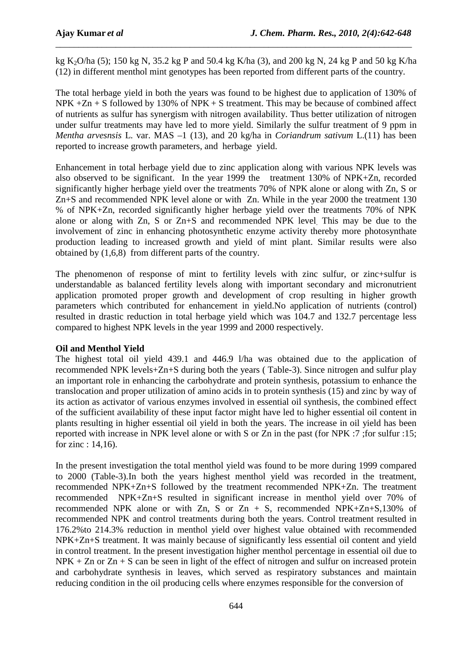kg K2O/ha (5); 150 kg N, 35.2 kg P and 50.4 kg K/ha (3), and 200 kg N, 24 kg P and 50 kg K/ha (12) in different menthol mint genotypes has been reported from different parts of the country.

*\_\_\_\_\_\_\_\_\_\_\_\_\_\_\_\_\_\_\_\_\_\_\_\_\_\_\_\_\_\_\_\_\_\_\_\_\_\_\_\_\_\_\_\_\_\_\_\_\_\_\_\_\_\_\_\_\_\_\_\_\_\_\_\_\_\_\_\_\_\_\_\_\_\_\_\_\_*

The total herbage yield in both the years was found to be highest due to application of 130% of NPK  $+Zn + S$  followed by 130% of NPK  $+ S$  treatment. This may be because of combined affect of nutrients as sulfur has synergism with nitrogen availability. Thus better utilization of nitrogen under sulfur treatments may have led to more yield. Similarly the sulfur treatment of 9 ppm in *Mentha arvesnsis* L. var. MAS –1 (13), and 20 kg/ha in *Coriandrum sativum* L.(11) has been reported to increase growth parameters, and herbage yield.

Enhancement in total herbage yield due to zinc application along with various NPK levels was also observed to be significant. In the year 1999 the treatment 130% of NPK+Zn, recorded significantly higher herbage yield over the treatments 70% of NPK alone or along with Zn, S or Zn+S and recommended NPK level alone or with Zn. While in the year 2000 the treatment 130 % of NPK+Zn, recorded significantly higher herbage yield over the treatments 70% of NPK alone or along with Zn, S or Zn+S and recommended NPK level. This may be due to the involvement of zinc in enhancing photosynthetic enzyme activity thereby more photosynthate production leading to increased growth and yield of mint plant. Similar results were also obtained by (1,6,8) from different parts of the country.

The phenomenon of response of mint to fertility levels with zinc sulfur, or zinc+sulfur is understandable as balanced fertility levels along with important secondary and micronutrient application promoted proper growth and development of crop resulting in higher growth parameters which contributed for enhancement in yield.No application of nutrients (control) resulted in drastic reduction in total herbage yield which was 104.7 and 132.7 percentage less compared to highest NPK levels in the year 1999 and 2000 respectively.

## **Oil and Menthol Yield**

The highest total oil yield 439.1 and 446.9 l/ha was obtained due to the application of recommended NPK levels+Zn+S during both the years ( Table-3). Since nitrogen and sulfur play an important role in enhancing the carbohydrate and protein synthesis, potassium to enhance the translocation and proper utilization of amino acids in to protein synthesis (15) and zinc by way of its action as activator of various enzymes involved in essential oil synthesis, the combined effect of the sufficient availability of these input factor might have led to higher essential oil content in plants resulting in higher essential oil yield in both the years. The increase in oil yield has been reported with increase in NPK level alone or with S or Zn in the past (for NPK :7 ;for sulfur :15; for zinc : 14,16).

In the present investigation the total menthol yield was found to be more during 1999 compared to 2000 (Table-3).In both the years highest menthol yield was recorded in the treatment, recommended NPK+Zn+S followed by the treatment recommended NPK+Zn. The treatment recommended NPK+Zn+S resulted in significant increase in menthol yield over 70% of recommended NPK alone or with Zn, S or Zn + S, recommended NPK+Zn+S,130% of recommended NPK and control treatments during both the years. Control treatment resulted in 176.2%to 214.3% reduction in menthol yield over highest value obtained with recommended NPK+Zn+S treatment. It was mainly because of significantly less essential oil content and yield in control treatment. In the present investigation higher menthol percentage in essential oil due to  $NPK + Zn$  or  $Zn + S$  can be seen in light of the effect of nitrogen and sulfur on increased protein and carbohydrate synthesis in leaves, which served as respiratory substances and maintain reducing condition in the oil producing cells where enzymes responsible for the conversion of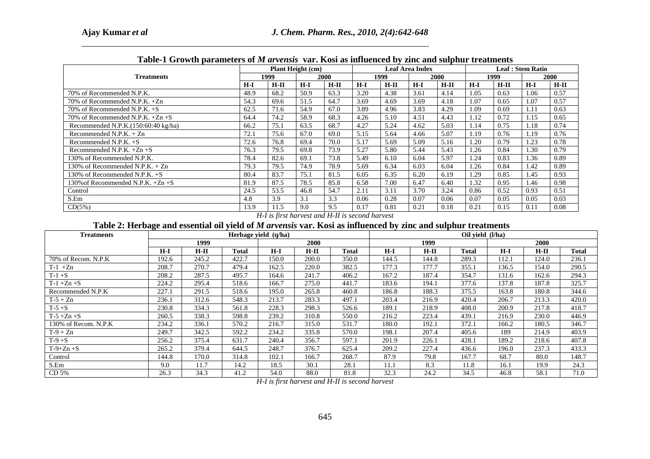|                                     | TWOLY I OFOTHER PREMIIVED OF HE WELFILMS THEY ELODE WO INTERVIEW OF BILLY WILL DEEPING TO VEHICLE.<br><b>Plant Height (cm)</b> |        |       |        |       |        | <b>Leaf Area Index</b> |        | Leaf : Stem Ratio |        |       |             |
|-------------------------------------|--------------------------------------------------------------------------------------------------------------------------------|--------|-------|--------|-------|--------|------------------------|--------|-------------------|--------|-------|-------------|
| <b>Treatments</b>                   |                                                                                                                                | 1999   |       | 2000   |       | 1999   |                        | 2000   |                   | 1999   |       | <b>2000</b> |
|                                     | $H-I$                                                                                                                          | $H-II$ | $H-I$ | $H-II$ | $H-I$ | $H-II$ | $H-I$                  | $H-II$ | $H-I$             | $H-II$ | $H-I$ | $H-II$      |
| 70% of Recommended N.P.K.           | 48.9                                                                                                                           | 68.2   | 50.9  | 63.3   | 3.20  | 4.38   | 3.61                   | 4.14   | 1.05              | 0.63   | 1.06  | 0.57        |
| 70% of Recommended N.P.K. +Zn       | 54.3                                                                                                                           | 69.6   | 51.5  | 64.7   | 3.69  | 4.69   | 3.69                   | 4.18   | 1.07              | 0.65   | 1.07  | 0.57        |
| 70% of Recommended N.P.K. $+S$      | 62.5                                                                                                                           | 71.6   | 54.9  | 67.0   | 3.89  | 4.96   | 3.83                   | 4.29   | 1.09              | 0.69   | 1.11  | 0.63        |
| 70% of Recommended N.P.K. $+Zn +S$  | 64.4                                                                                                                           | 74.2   | 58.9  | 68.3   | 4.26  | 5.10   | 4.51                   | 4.43   | 1.12              | 0.72   | 1.15  | 0.65        |
| Recommended N.P.K.(150:60:40 kg/ha) | 66.2                                                                                                                           | 75.1   | 63.5  | 68.7   | 4.27  | 5.24   | 4.62                   | 5.03   | 1.14              | 0.75   | 1.18  | 0.74        |
| Recommended N.P.K. $+ Zn$           | 72.1                                                                                                                           | 75.6   | 67.0  | 69.0   | 5.15  | 5.64   | 4.66                   | 5.07   | 1.19              | 0.76   | 1.19  | 0.76        |
| Recommended N.P.K. $+S$             | 72.6                                                                                                                           | 76.8   | 69.4  | 70.0   | 5.17  | 5.69   | 5.09                   | 5.16   | 1.20              | 0.79   | 1.23  | 0.78        |
| Recommended N.P.K. $+Zn +S$         | 76.3                                                                                                                           | 79.5   | 69.8  | 73.9   | 5.27  | 5.80   | 5.44                   | 5.43   | 1.26              | 0.84   | 1.30  | 0.79        |
| 130% of Recommended N.P.K.          | 78.4                                                                                                                           | 82.6   | 69.1  | 73.8   | 5.49  | 6.10   | 6.04                   | 5.97   | 1.24              | 0.83   | 1.36  | 0.89        |
| 130% of Recommended N.P.K. + Zn     | 79.3                                                                                                                           | 79.5   | 74.9  | 78.9   | 5.69  | 6.34   | 6.03                   | 6.04   | 1.26              | 0.84   | 1.42  | 0.89        |
| 130% of Recommended N.P.K. +S       | 80.4                                                                                                                           | 83.7   | 75.1  | 81.5   | 6.05  | 6.35   | 6.20                   | 6.19   | 1.29              | 0.85   | 1.45  | 0.93        |
| 130% of Recommended N.P.K. $+Zn +S$ | 81.9                                                                                                                           | 87.5   | 78.5  | 85.8   | 6.58  | 7.00   | 6.47                   | 6.40   | 1.32              | 0.95   | 1.46  | 0.98        |
| Control                             | 24.5                                                                                                                           | 53.5   | 46.8  | 54.7   | 2.11  | 3.11   | 3.70                   | 3.24   | 0.86              | 0.52   | 0.93  | 0.51        |
| S.Em                                | 4.8                                                                                                                            | 3.9    | 3.1   | 3.3    | 0.06  | 0.28   | 0.07                   | 0.06   | 0.07              | 0.05   | 0.05  | 0.03        |
| CD(5%)                              | 13.9                                                                                                                           | 11.5   | 9.0   | 9.5    | 0.17  | 0.81   | 0.21                   | 0.18   | 0.21              | 0.15   | 0.11  | 0.08        |

*\_\_\_\_\_\_\_\_\_\_\_\_\_\_\_\_\_\_\_\_\_\_\_\_\_\_\_\_\_\_\_\_\_\_\_\_\_\_\_\_\_\_\_\_\_\_\_\_\_\_\_\_\_\_\_\_\_\_\_\_\_\_\_\_\_\_\_\_\_\_\_\_\_\_\_\_\_*

|                                                                                                               |                   |                |                      |                                                         | Plant Height (cm) |                |       |                | Table-1 Growth parameters of <i>M arvensis</i> var. Kosi as influenced by zinc and sulphur treatments<br><b>Leaf Area Index</b> |        |                  |                              | <b>Leaf: Stem Ratio</b> |                |  |
|---------------------------------------------------------------------------------------------------------------|-------------------|----------------|----------------------|---------------------------------------------------------|-------------------|----------------|-------|----------------|---------------------------------------------------------------------------------------------------------------------------------|--------|------------------|------------------------------|-------------------------|----------------|--|
|                                                                                                               | <b>Treatments</b> |                |                      | 1999                                                    |                   | 2000           |       | 1999           |                                                                                                                                 | 2000   |                  | 1999                         |                         | 2000           |  |
|                                                                                                               |                   |                | $H-I$                | $H - II$                                                | $H-I$             | $H-II$         | $H-I$ | $H-II$         | $H-I$                                                                                                                           | $H-II$ | $H-I$            | $H-II$                       | $H-I$                   | $H-II$         |  |
| 70% of Recommended N.P.K.                                                                                     |                   |                | 48.9                 | 68.2                                                    | 50.9              | 63.3           | 3.20  | 4.38           | 3.61                                                                                                                            | 4.14   |                  | 0.57<br>1.05<br>0.63<br>1.06 |                         |                |  |
| 70% of Recommended N.P.K. +Zn                                                                                 |                   |                | 54.3                 | 69.6                                                    | 51.5              | 64.7           | 3.69  | 4.69           | 3.69                                                                                                                            | 4.18   | 1.07             | 0.65                         | 1.07                    | 0.57           |  |
| 70% of Recommended N.P.K. +S                                                                                  |                   |                | 62.5                 | 71.6                                                    | 54.9              | 67.0           | 3.89  | 4.96           | 3.83                                                                                                                            | 4.29   | 1.09             | 0.69                         | 1.11                    | 0.63           |  |
| 70% of Recommended N.P.K. +Zn +S                                                                              |                   |                | 64.4                 | 74.2                                                    | 58.9              | 68.3           | 4.26  | 5.10           | 4.51                                                                                                                            | 4.43   | 1.12             | 0.72                         | 1.15                    | 0.65           |  |
| Recommended N.P.K.(150:60:40 kg/ha)                                                                           |                   |                | 66.2                 | 75.1                                                    | 63.5              | 68.7           | 4.27  | 5.24           | 4.62                                                                                                                            | 5.03   | 1.14             | 0.75                         | 1.18                    | 0.74           |  |
| Recommended N.P.K. + Zn                                                                                       |                   |                | 72.1                 | 75.6                                                    | 67.0              | 69.0           | 5.15  | 5.64           | 4.66                                                                                                                            | 5.07   | 1.19             | 0.76                         | 1.19                    | 0.76           |  |
| Recommended N.P.K. +S                                                                                         |                   |                | 72.6                 | 76.8                                                    | 69.4              | 70.0           | 5.17  | 5.69           | 5.09                                                                                                                            | 5.16   | 1.20             | 0.79                         | 1.23                    | 0.78           |  |
| Recommended N.P.K. +Zn +S                                                                                     |                   |                | 76.3                 | 79.5                                                    | 69.8              | 73.9           | 5.27  | 5.80           | 5.44                                                                                                                            | 5.43   | 1.26             | 0.84                         | 1.30                    | 0.79           |  |
| 130% of Recommended N.P.K.                                                                                    |                   |                | 78.4                 | 82.6                                                    | 69.1              | 73.8           | 5.49  | 6.10           | 6.04                                                                                                                            | 5.97   | 1.24             | 0.83                         | 1.36                    | 0.89           |  |
| 130% of Recommended N.P.K. + Zn                                                                               |                   |                | 79.3                 | 79.5                                                    | 74.9              | 78.9           | 5.69  | 6.34           | 6.03                                                                                                                            | 6.04   | 1.26             | 0.84                         | 1.42                    | 0.89           |  |
| 130% of Recommended N.P.K. +S                                                                                 |                   |                | 80.4                 | 83.7                                                    | 75.1              | 81.5           | 6.05  | 6.35           | 6.20                                                                                                                            | 6.19   | 1.29             | 0.85                         | 1.45                    | 0.93           |  |
| 130% of Recommended N.P.K. +Zn +S                                                                             |                   |                | 81.9                 | 87.5                                                    | 78.5              | 85.8           | 6.58  | 7.00           | 6.47                                                                                                                            | 6.40   | 1.32             | 0.95                         | 1.46                    | 0.98           |  |
| Control                                                                                                       |                   |                | $\overline{24.5}$    | $\overline{53.5}$                                       | 46.8              | 54.7           | 2.11  | 3.11           | 3.70                                                                                                                            | 3.24   | 0.86             | 0.52                         | 0.93                    | 0.51           |  |
| S.Em                                                                                                          |                   |                | 4.8                  | $\overline{3.9}$                                        | 3.1               | 3.3            | 0.06  | 0.28           | 0.07                                                                                                                            | 0.06   | 0.07             | 0.05                         | 0.05                    | 0.03           |  |
| CD(5%)                                                                                                        |                   |                | 13.9                 | 11.5<br>H-I is first harvest and H-II is second harvest | 9.0               | 9.5            | 0.17  | 0.81           | 0.21                                                                                                                            | 0.18   | 0.21             | 0.15                         | 0.11                    | 0.08           |  |
| Table 2: Herbage and essential oil yield of M arvensis var. Kosi as influenced by zinc and sulphur treatments |                   |                |                      |                                                         |                   |                |       |                |                                                                                                                                 |        |                  |                              |                         |                |  |
| <b>Treatments</b>                                                                                             |                   |                | Herbage yield (q/ha) |                                                         |                   |                |       |                |                                                                                                                                 |        | Oil vield (l/ha) |                              |                         |                |  |
|                                                                                                               |                   | 1999           |                      |                                                         | 2000              |                |       |                | 1999                                                                                                                            |        |                  |                              | 2000                    |                |  |
|                                                                                                               | $H-I$             | $H-II$         | <b>Total</b>         | $H-I$                                                   | $H-II$            | <b>Total</b>   |       | $H-I$          | $H-II$                                                                                                                          |        | <b>Total</b>     | $H-I$                        | $H-II$                  | <b>Total</b>   |  |
| 70% of Recom. N.P.K                                                                                           | 192.6             | 245.2          | 422.7                | 150.0                                                   | 200.0             | 350.0          |       | 144.5          | 144.8                                                                                                                           |        | 289.3            | 112.1                        | 124.0                   | 236.1          |  |
| $T-1$ +Zn                                                                                                     | 208.7             | 270.7          | 479.4                | 162.5                                                   | 220.0             | 382.5          |       | 177.3          | 177.7                                                                                                                           |        | 355.1            | 136.5                        | 154.0                   | 290.5          |  |
| $T-1+S$                                                                                                       | 208.2             | 287.5          | 495.7                | 164.6                                                   | 241.7             | 406.2          |       | 167.2          | 187.4                                                                                                                           |        | 354.7            | 131.6                        | 162.6                   | 294.3          |  |
|                                                                                                               | 224.2             | 295.4          | 518.6                | 166.7                                                   | 275.0             | 441.7          |       | 183.6          | 194.1                                                                                                                           |        | 377.6            | 137.8                        | 187.8                   | 325.7          |  |
| $T-1+Zn+S$<br>Recommended N.P.K                                                                               | 227.1             | 291.5          | 518.6                | 195.0                                                   | 265.8             | 460.8          |       | 186.8          | 188.3                                                                                                                           |        | 375.5            | 163.8                        | 180.8                   | 344.6          |  |
| $T-5+Zn$<br>$T-5+S$                                                                                           | 236.1<br>230.8    | 312.6<br>334.3 | 548.3<br>561.8       | 213.7<br>228.3                                          | 283.3<br>298.3    | 497.1<br>526.6 |       | 203.4<br>189.1 | 216.9<br>218.9                                                                                                                  |        | 420.4<br>408.0   | 206.7<br>200.9               | 213.3<br>217.8          | 420.0<br>418.7 |  |
| $T-5+Zn+S$                                                                                                    | 260.5             | 338.3          | 598.8                | 239.2                                                   | 310.8             | 550.0          |       | 216.2          | 223.4                                                                                                                           |        | 439.1            | 216.9                        | 230.0                   | 446.9          |  |
| 130% of Recom. N.P.K                                                                                          | 234.2             | 336.1          | 570.2                | 216.7                                                   | 315.0             | 531.7          |       | 180.0          | 192.1                                                                                                                           |        | 372.1            | 166.2                        | 180.5                   | 346.7          |  |
| $T-9+Zn$                                                                                                      | 249.7             | 342.5          | 592.2                | 234.2                                                   | 335.8             | 570.0          |       | 198.1          | 207.4                                                                                                                           |        | 405.6            | 189                          | 214.9                   | 403.9          |  |
| $T-9+S$                                                                                                       | 256.2             | 375.4          | 631.7                | 240.4                                                   | 356.7             | 597.1          |       | 201.9          | 226.1                                                                                                                           |        | 428.1            | 189.2                        | 218.6                   | 407.8          |  |
| $T-9+Zn+S$                                                                                                    | 265.2             | 379.4          | 644.5                | 248.7                                                   | 376.7             | 625.4          |       | 209.2          | 227.4                                                                                                                           |        | 436.6            | 196.0                        | 237.3                   | 433.3          |  |
| Control                                                                                                       | 144.8             | 170.0          | 314.8                | 102.1                                                   | 166.7             | 268.7          |       | 87.9           | 79.8                                                                                                                            |        | 167.7            | 68.7                         | 80.0                    | 148.7          |  |
| S.Em                                                                                                          | 9.0               | 11.7           | 14.2                 | 18.5<br>54.0                                            | 30.1              | 28.1           |       | 11.1           | 8.3                                                                                                                             |        | 11.8             | 16.1                         | 19.9                    |                |  |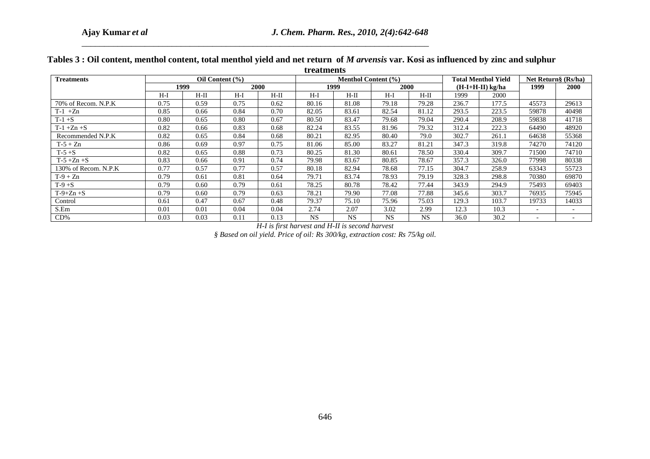| <b>Treatments</b>    |                                 |        |                   | treatments | Menthol Content (%)    |                        |           | <b>Total Menthol Yield</b> |                    | Net Return§ (Rs/ha) |                |                |
|----------------------|---------------------------------|--------|-------------------|------------|------------------------|------------------------|-----------|----------------------------|--------------------|---------------------|----------------|----------------|
|                      | Oil Content (%)<br>1999<br>2000 |        |                   |            | 1999                   |                        |           | 2000                       | $(H-I+H-II)$ kg/ha |                     | 1999           | 2000           |
|                      | $H-I$                           | $H-II$ | $H-I$             | $H-II$     | $H-I$                  | $H-II$                 | $H-I$     | $H-II$                     | 1999               | 2000                |                |                |
| 70% of Recom. N.P.K  | 0.75                            | 0.59   | 0.75              | 0.62       | 80.16                  | 81.08                  | 79.18     | 79.28                      | 236.7              | 177.5               | 45573          | 29613          |
| $T-1$ +Zn            | 0.85                            | 0.66   | 0.84              | 0.70       | 82.05                  | 83.61                  | 82.54     | 81.12                      | 293.5              | 223.5               | 59878          | 40498          |
| $T-1+S$              | $\overline{0.80}$               | 0.65   | $\overline{0.80}$ | 0.67       | 80.50                  | 83.47                  | 79.68     | 79.04                      | 290.4              | 208.9               | 59838          | 41718          |
| $T-1+Zn+S$           | 0.82                            | 0.66   | 0.83              | 0.68       | 82.24                  | 83.55                  | 81.96     | 79.32                      | 312.4              | 222.3               | 64490          | 48920          |
| Recommended N.P.K    | 0.82                            | 0.65   | 0.84              | 0.68       | 80.21                  | 82.95                  | 80.40     | 79.0                       | 302.7              | 261.1               | 64638          | 55368          |
| $T-5+Zn$             | 0.86                            | 0.69   | 0.97              | 0.75       | 81.06                  | 85.00                  | 83.27     | 81.21                      | 347.3              | 319.8               | 74270          | 74120          |
| $T-5+S$              | 0.82                            | 0.65   | 0.88              | 0.73       | 80.25                  | 81.30                  | 80.61     | 78.50                      | 330.4              | 309.7               | 71500          | 74710          |
| $T-5+Zn+S$           | 0.83                            | 0.66   | 0.91              | 0.74       | 79.98                  | 83.67                  | 80.85     | 78.67                      | 357.3              | 326.0               | 77998          | 80338          |
| 130% of Recom. N.P.K | 0.77                            | 0.57   | 0.77              | 0.57       | 80.18                  | 82.94                  | 78.68     | 77.15                      | 304.7              | 258.9               | 63343          | 55723          |
| $T-9+Zn$             | 0.79                            | 0.61   | 0.81              | 0.64       | 79.71                  | 83.74                  | 78.93     | 79.19                      | 328.3              | 298.8               | 70380          | 69870          |
| $T-9+S$              | 0.79                            | 0.60   | 0.79              | 0.61       | 78.25                  | 80.78                  | 78.42     | 77.44                      | 343.9              | 294.9               | 75493          | 69403          |
| $T-9+Zn+S$           | 0.79                            | 0.60   | 0.79              | 0.63       | 78.21                  | 79.90                  | 77.08     | 77.88                      | 345.6              | 303.7               | 76935          | 75945          |
| Control              | 0.61                            | 0.47   | 0.67              | 0.48       | 79.37                  | 75.10                  | 75.96     | 75.03                      | 129.3              | 103.7               | 19733          | 14033          |
| S.Em                 | $0.01\,$                        | 0.01   | 0.04              | 0.04       | 2.74                   | 2.07                   | 3.02      | 2.99                       | 12.3               | 10.3                | $\sim$         | $\sim$         |
| $CD\%$               | 0.03                            | 0.03   | 0.11              | 0.13       | $\overline{\text{NS}}$ | $\overline{\text{NS}}$ | <b>NS</b> | $\overline{\text{NS}}$     | 36.0               | 30.2                | $\blacksquare$ | $\blacksquare$ |
|                      |                                 |        |                   |            |                        |                        |           |                            |                    |                     |                |                |
|                      |                                 |        |                   |            |                        |                        |           |                            |                    |                     |                |                |
|                      |                                 |        |                   |            |                        |                        |           |                            |                    |                     |                |                |
|                      |                                 |        |                   |            |                        |                        |           |                            |                    |                     |                |                |
|                      |                                 |        |                   |            |                        |                        |           |                            |                    |                     |                |                |
|                      |                                 |        |                   |            |                        |                        |           |                            |                    |                     |                |                |
|                      |                                 |        |                   |            | 646                    |                        |           |                            |                    |                     |                |                |

*\_\_\_\_\_\_\_\_\_\_\_\_\_\_\_\_\_\_\_\_\_\_\_\_\_\_\_\_\_\_\_\_\_\_\_\_\_\_\_\_\_\_\_\_\_\_\_\_\_\_\_\_\_\_\_\_\_\_\_\_\_\_\_\_\_\_\_\_\_\_\_\_\_\_\_\_\_*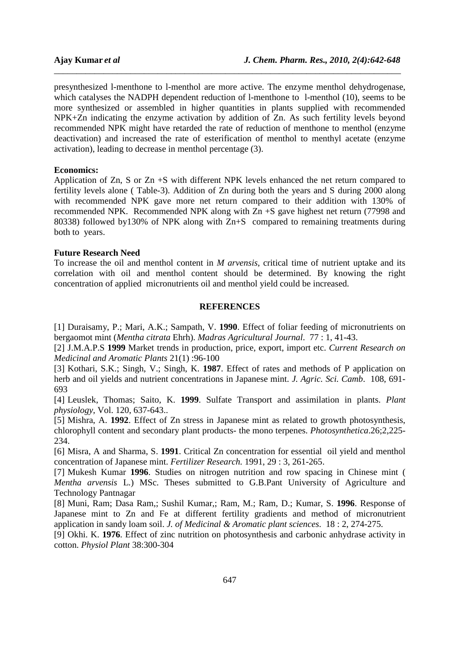presynthesized l-menthone to l-menthol are more active. The enzyme menthol dehydrogenase, which catalyses the NADPH dependent reduction of l-menthone to l-menthol (10), seems to be more synthesized or assembled in higher quantities in plants supplied with recommended NPK+Zn indicating the enzyme activation by addition of Zn. As such fertility levels beyond recommended NPK might have retarded the rate of reduction of menthone to menthol (enzyme deactivation) and increased the rate of esterification of menthol to menthyl acetate (enzyme activation), leading to decrease in menthol percentage (3).

*\_\_\_\_\_\_\_\_\_\_\_\_\_\_\_\_\_\_\_\_\_\_\_\_\_\_\_\_\_\_\_\_\_\_\_\_\_\_\_\_\_\_\_\_\_\_\_\_\_\_\_\_\_\_\_\_\_\_\_\_\_\_\_\_\_\_\_\_\_\_\_\_\_\_\_\_\_*

### **Economics:**

Application of Zn, S or Zn +S with different NPK levels enhanced the net return compared to fertility levels alone ( Table-3). Addition of Zn during both the years and S during 2000 along with recommended NPK gave more net return compared to their addition with 130% of recommended NPK. Recommended NPK along with Zn +S gave highest net return (77998 and 80338) followed by130% of NPK along with Zn+S compared to remaining treatments during both to years.

### **Future Research Need**

To increase the oil and menthol content in *M arvensis*, critical time of nutrient uptake and its correlation with oil and menthol content should be determined. By knowing the right concentration of applied micronutrients oil and menthol yield could be increased.

### **REFERENCES**

[1] Duraisamy, P.; Mari, A.K.; Sampath, V. **1990**. Effect of foliar feeding of micronutrients on bergaomot mint (*Mentha citrata* Ehrh). *Madras Agricultural Journal*. 77 : 1, 41-43.

[2] J.M.A.P.S **1999** Market trends in production, price, export, import etc. *Current Research on Medicinal and Aromatic Plants* 21(1) :96-100

[3] Kothari, S.K.; Singh, V.; Singh, K. **1987**. Effect of rates and methods of P application on herb and oil yields and nutrient concentrations in Japanese mint. *J. Agric. Sci. Camb*. 108, 691- 693

[4] Leuslek, Thomas; Saito, K. **1999**. Sulfate Transport and assimilation in plants. *Plant physiology,* Vol. 120, 637-643..

[5] Mishra, A. **1992**. Effect of Zn stress in Japanese mint as related to growth photosynthesis, chlorophyll content and secondary plant products- the mono terpenes. *Photosynthetica*.26;2,225- 234.

[6] Misra, A and Sharma, S. **1991**. Critical Zn concentration for essential oil yield and menthol concentration of Japanese mint. *Fertilizer Research.* 1991, 29 : 3, 261-265.

[7] Mukesh Kumar **1996**. Studies on nitrogen nutrition and row spacing in Chinese mint ( *Mentha arvensis* L.) MSc. Theses submitted to G.B.Pant University of Agriculture and Technology Pantnagar

[8] Muni, Ram; Dasa Ram,; Sushil Kumar,; Ram, M.; Ram, D.; Kumar, S. **1996**. Response of Japanese mint to Zn and Fe at different fertility gradients and method of micronutrient application in sandy loam soil. *J. of Medicinal & Aromatic plant sciences*. 18 : 2, 274-275.

[9] Okhi. K. **1976**. Effect of zinc nutrition on photosynthesis and carbonic anhydrase activity in cotton. *Physiol Plant* 38:300-304